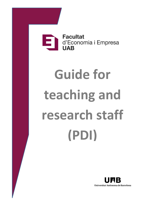

# **Guide for teaching and research staff (PDI)**

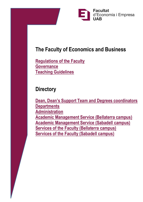

# **The Faculty of Economics and Business**

**[Regulations of the Faculty](https://www.uab.cat/doc/reglament-fee) [Governance](https://www.uab.cat/web/discover-the-faculty/the-faculty/faculty-governance/organization-1345696113502.html) [Teaching Guidelines](https://www.uab.cat/doc/guidelines-teaching-feie)**

#### **Directory**

**[Dean, Dean's Support Team and Degrees coordinators](https://www.uab.cat/web/discover-the-faculty/the-faculty/faculty-governance/organization-1345696113502.html) [Departments](https://www.uab.cat/web/discover-the-faculty/the-faculty/departaments-at-the-faculty-1345696113587.html) [Administration](https://www.uab.cat/web/discover-the-faculty/the-faculty/administrative-structure-1345696113569.html) [Academic Management Service \(Bellaterra campus\)](https://www.uab.cat/web/discover-the-faculty/the-faculty/services-at-bellaterra-campus/academic-management-service-1345696113771.html) [Academic Management Service](https://www.uab.cat/web/discover-the-faculty/the-faculty/services-at-sabadell-campus/gestio-academica-1345696114051.html) (Sabadell campus) [Services of the Faculty \(Bellaterra campus\)](https://www.uab.cat/web/discover-the-faculty/the-faculty/services-at-bellaterra-campus-1345696113680.html) [Services of the Faculty \(Sabadell campus\)](https://www.uab.cat/web/discover-the-faculty/the-faculty/services-at-sabadell-campus-1345696113939.html)**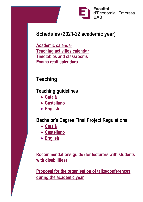

## **Schedules (2021-22 academic year)**

**[Academic calendar](https://www.uab.cat/doc/feie-calendari-academic-21-22-eng) [Teaching activities](https://drive.google.com/file/d/1eRArgcM4Nc31cjdUeYIfBQRD8WzvLhOw/view?usp=sharing) calendar [Timetables and classrooms](https://www.uab.cat/web/study/bachelor-s-degrees/bachelor-s-degrees/2020-21-timetables-and-classrooms-catalan-version-1345698250969.html) [Exams resit](https://www.uab.cat/web/study/bachelor-s-degrees/bachelor-s-degrees/exam-resit-calendars-catalan-version-/exam-resit-calendar-2020-21-academic-year-1345793919909.html) calendars**

# **Teaching**

### **Teaching guidelines**

- **[Català](https://www.uab.cat/doc/pautes-docencia-feie)**
- **[Castellano](https://www.uab.cat/doc/pautas-docencia-feie)**
- **[English](https://www.uab.cat/doc/guidelines-teaching-feie)**

## **[Bachelor's Degree Final Project](http://www.uab.cat/doc/regulations-tfg-feie-revised-en) Regulations**

- **[Català](https://www.uab.cat/doc/normativa-tfg-feie-090720-ca)**
- **[Castellano](https://www.uab.cat/docnormativa-tfg-feie-090720-es)**
- **[English](https://www.uab.cat/doc/normativa-tfg-feie-090720-en)**

**[Recommendations guide](https://drive.google.com/file/d/0B_yt3h6Pu6T5TXJaRU1naXo0MVk/view?usp=sharing) (for lecturers with students with disabilities)**

**Proposal for the organisation of [talks/conferences](https://eformularis.uab.cat/group/deganat_feie/sol-licitud-conferencies-i-xerrades)  [during the academic year](https://eformularis.uab.cat/group/deganat_feie/sol-licitud-conferencies-i-xerrades)**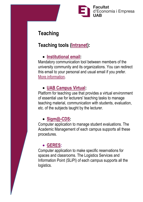

# **Teaching**

## **Teaching tools [\(Intranet\)](http://sia.uab.es/):**

#### • **[Institutional email:](https://correu.uab.cat/)**

Mandatory communication tool between members of the university community and its organizations. You can redirect this email to your personal and usual email if you prefer. [More information.](https://www.uab.cat/web/correu-electronic-1345688527270.html)

#### • **[UAB Campus Virtual:](https://cv.uab.cat/portada/en/index.html)**

Platform for teaching use that provides a virtual environment of essential use for lecturers' teaching tasks to manage teaching material, communication with students, evaluation, etc. of the subjects taught by the lecturer.

#### • **[Sigm@-CDS:](https://web2.uab.es:31501/cosmos/Controlador/?@ebf2f349580da806=@1bedd0984ff1624c&@57b88e10f1a90c1a=@924144c9090fb002&@d2e9d205e120747b=@057dbf7322b5fb19&@7768acd4afb2a0dcaab9840b9661a38391fdaa47be8ebfbb=@f6313b39283a9692&@cf98bb17a2e7a822=@5bd248cedea4d4ca&@1542a058212e2087=@fcedbb18de37e7eb&@d9ce157cc24bed8c=@b1359d06a0218df1)**

Computer application to manage student evaluations. The Academic Management of each campus supports all these procedures.

#### • **[GERES:](https://web2.uab.es:31501/cosmos/Controlador/?@ebf2f349580da806=@1bedd0984ff1624c&@57b88e10f1a90c1a=@da0d9d494d07e27f&@d2e9d205e120747b=@057dbf7322b5fb19&@7768acd4afb2a0dcaab9840b9661a38391fdaa47be8ebfbb=@f6313b39283a9692&@cf98bb17a2e7a822=@731f7520ae3b246)**

Computer application to make specific reservations for spaces and classrooms. The Logistics Services and Information Point (SLiPI) of each campus supports all the logistics.